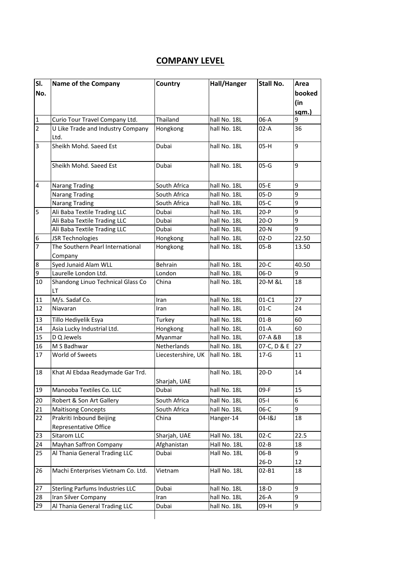## **COMPANY LEVEL**

| SI.                     | Name of the Company                    | Country            | Hall/Hanger  | <b>Stall No.</b> | Area   |
|-------------------------|----------------------------------------|--------------------|--------------|------------------|--------|
| No.                     |                                        |                    |              |                  | booked |
|                         |                                        |                    |              |                  | (in    |
|                         |                                        |                    |              |                  | sqm.)  |
| $\mathbf{1}$            | Curio Tour Travel Company Ltd.         | Thailand           | hall No. 18L | $06-A$           | 9      |
| 2                       | U Like Trade and Industry Company      | Hongkong           | hall No. 18L | 02-A             | 36     |
|                         | Ltd.                                   |                    |              |                  |        |
| 3                       | Sheikh Mohd. Saeed Est                 | Dubai              | hall No. 18L | 05-H             | 9      |
|                         |                                        |                    |              |                  |        |
|                         | Sheikh Mohd. Saeed Est                 | Dubai              | hall No. 18L | $05-G$           | 9      |
|                         |                                        |                    |              |                  |        |
| $\overline{\mathbf{4}}$ | <b>Narang Trading</b>                  | South Africa       | hall No. 18L | $05-E$           | 9      |
|                         | <b>Narang Trading</b>                  | South Africa       | hall No. 18L | $05-D$           | 9      |
|                         | <b>Narang Trading</b>                  | South Africa       | hall No. 18L | $05-C$           | 9      |
| 5                       | Ali Baba Textile Trading LLC           | Dubai              | hall No. 18L | $20-P$           | 9      |
|                         | Ali Baba Textile Trading LLC           | Dubai              | hall No. 18L | $20 - 0$         | 9      |
|                         | Ali Baba Textile Trading LLC           | Dubai              | hall No. 18L | $20-N$           | 9      |
| 6                       | <b>JSR Technologies</b>                | Hongkong           | hall No. 18L | $02-D$           | 22.50  |
| 7                       | The Southern Pearl International       | Hongkong           | hall No. 18L | $05 - B$         | 13.50  |
|                         | Company                                |                    |              |                  |        |
| $\boldsymbol{8}$        | Syed Junaid Alam WLL                   | Behrain            | hall No. 18L | $20-C$           | 40.50  |
| 9                       | Laurelle London Ltd.                   | London             | hall No. 18L | $06-D$           | 9      |
| 10                      | Shandong Linuo Technical Glass Co      | China              | hall No. 18L | 20-M &L          | 18     |
|                         | LТ                                     |                    |              |                  |        |
| 11                      | M/s. Sadaf Co.                         | Iran               | hall No. 18L | $01-C1$          | 27     |
| 12                      | Niavaran                               | Iran               | hall No. 18L | $01-C$           | 24     |
| 13                      | Tillo Hediyelik Esya                   | Turkey             | hall No. 18L | $01 - B$         | 60     |
| 14                      | Asia Lucky Industrial Ltd.             | Hongkong           | hall No. 18L | 01-A             | 60     |
| 15                      | D Q Jewels                             | Myanmar            | hall No. 18L | 07-A &B          | 18     |
| 16                      | M S Badhwar                            | Netherlands        | hall No. 18L | 07-C, D & E      | 27     |
| 17                      | World of Sweets                        | Liecestershire, UK | hall No. 18L | $17 - G$         | 11     |
|                         |                                        |                    |              |                  |        |
| 18                      | Khat Al Ebdaa Readymade Gar Trd.       |                    | hall No. 18L | $20-D$           | 14     |
|                         |                                        | Sharjah, UAE       |              |                  |        |
| 19                      | Manooba Textiles Co. LLC               | Dubai              | hall No. 18L | 09-F             | 15     |
| 20                      | Robert & Son Art Gallery               | South Africa       | hall No. 18L | $05-I$           | 6      |
| 21                      | <b>Maitisong Concepts</b>              | South Africa       | hall No. 18L | $06-C$           | 9      |
| 22                      | Prakriti Inbound Beijing               | China              | Hanger-14    | 04-1&J           | 18     |
|                         | Representative Office                  |                    |              |                  |        |
| 23                      | Sitarom LLC                            | Sharjah, UAE       | Hall No. 18L | $02-C$           | 22.5   |
| 24                      | Mayhan Saffron Company                 | Afghanistan        | Hall No. 18L | $02 - B$         | 18     |
| 25                      | Al Thania General Trading LLC          | Dubai              | Hall No. 18L | 06-B             | 9      |
|                         |                                        |                    |              | $26-D$           | 12     |
| 26                      | Machi Enterprises Vietnam Co. Ltd.     | Vietnam            | Hall No. 18L | 02-B1            | 18     |
|                         |                                        |                    |              |                  |        |
| 27                      | <b>Sterling Parfums Industries LLC</b> | Dubai              | hall No. 18L | $18-D$           | 9      |
| 28                      | Iran Silver Company                    | Iran               | hall No. 18L | $26-A$           | 9      |
| 29                      | Al Thania General Trading LLC          | Dubai              | hall No. 18L | 09-H             | 9      |
|                         |                                        |                    |              |                  |        |